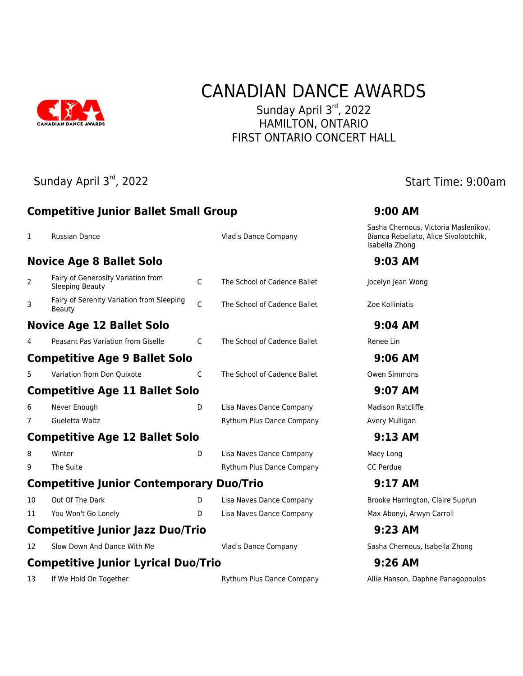

# CANADIAN DANCE AWARDS

Sunday April 3rd, 2022 HAMILTON, ONTARIO FIRST ONTARIO CONCERT HALL

Sunday April 3<sup>rd</sup>, 2022 **Sunday April 3<sup>rd</sup>**, 2022

|    |                                                              |              |                              | Sasha Chernous, Victoria Maslenikov,                    |
|----|--------------------------------------------------------------|--------------|------------------------------|---------------------------------------------------------|
| 1  | <b>Russian Dance</b>                                         |              | Vlad's Dance Company         | Bianca Rebellato, Alice Sivolobtchik,<br>Isabella Zhong |
|    | <b>Novice Age 8 Ballet Solo</b>                              |              |                              | 9:03 AM                                                 |
| 2  | Fairy of Generosity Variation from<br><b>Sleeping Beauty</b> | $\mathsf{C}$ | The School of Cadence Ballet | Jocelyn Jean Wong                                       |
| 3  | Fairy of Serenity Variation from Sleeping<br>Beauty          | $\mathsf{C}$ | The School of Cadence Ballet | Zoe Kolliniatis                                         |
|    | <b>Novice Age 12 Ballet Solo</b>                             |              |                              | $9:04$ AM                                               |
| 4  | Peasant Pas Variation from Giselle                           | C            | The School of Cadence Ballet | Renee Lin                                               |
|    | <b>Competitive Age 9 Ballet Solo</b>                         |              |                              | $9:06$ AM                                               |
| 5  | Variation from Don Quixote                                   | C            | The School of Cadence Ballet | Owen Simmons                                            |
|    | <b>Competitive Age 11 Ballet Solo</b>                        |              |                              | 9:07 AM                                                 |
| 6  | Never Enough                                                 | D            | Lisa Naves Dance Company     | <b>Madison Ratcliffe</b>                                |
| 7  | Gueletta Waltz                                               |              | Rythum Plus Dance Company    | Avery Mulligan                                          |
|    | <b>Competitive Age 12 Ballet Solo</b>                        |              |                              | 9:13 AM                                                 |
| 8  | Winter                                                       | D            | Lisa Naves Dance Company     | Macy Long                                               |
| 9  | The Suite                                                    |              | Rythum Plus Dance Company    | <b>CC Perdue</b>                                        |
|    | <b>Competitive Junior Contemporary Duo/Trio</b>              |              |                              | 9:17 AM                                                 |
| 10 | Out Of The Dark                                              | D            | Lisa Naves Dance Company     | Brooke Harrington, Claire Suprun                        |
| 11 | You Won't Go Lonely                                          | D            | Lisa Naves Dance Company     | Max Abonyi, Arwyn Carroll                               |
|    | <b>Competitive Junior Jazz Duo/Trio</b>                      |              |                              | 9:23 AM                                                 |
| 12 | Slow Down And Dance With Me                                  |              | Vlad's Dance Company         | Sasha Chernous, Isabella Zhong                          |
|    | <b>Competitive Junior Lyrical Duo/Trio</b>                   |              |                              | $9:26$ AM                                               |

**Competitive Junior Ballet Small Group 9:00 AM**

13 If We Hold On Together **Rythum Plus Dance Company** Allie Hanson, Daphne Panagopoulos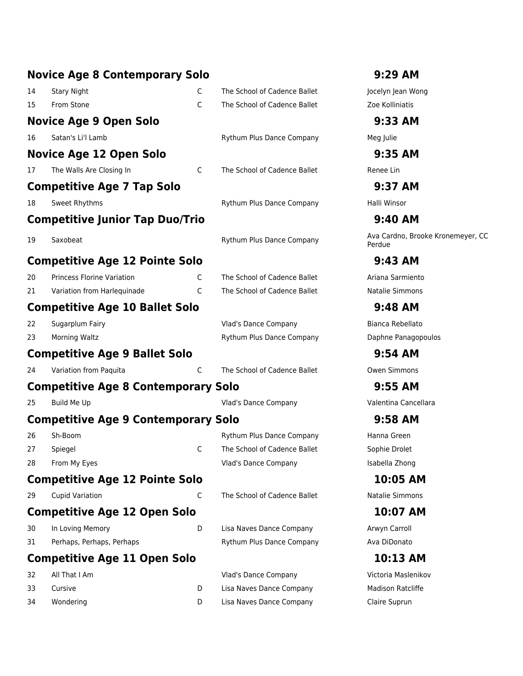|    | <b>Novice Age 8 Contemporary Solo</b>      |    |                              | 9:29 AM                                     |
|----|--------------------------------------------|----|------------------------------|---------------------------------------------|
| 14 | <b>Stary Night</b>                         | C  | The School of Cadence Ballet | Jocelyn Jean Wong                           |
| 15 | From Stone                                 | C  | The School of Cadence Ballet | Zoe Kolliniatis                             |
|    | <b>Novice Age 9 Open Solo</b>              |    |                              | 9:33 AM                                     |
| 16 | Satan's Li'l Lamb                          |    | Rythum Plus Dance Company    | Meg Julie                                   |
|    | <b>Novice Age 12 Open Solo</b>             |    |                              | 9:35 AM                                     |
| 17 | The Walls Are Closing In                   | C  | The School of Cadence Ballet | Renee Lin                                   |
|    | <b>Competitive Age 7 Tap Solo</b>          |    |                              | 9:37 AM                                     |
| 18 | Sweet Rhythms                              |    | Rythum Plus Dance Company    | Halli Winsor                                |
|    | <b>Competitive Junior Tap Duo/Trio</b>     |    |                              | 9:40 AM                                     |
| 19 | Saxobeat                                   |    | Rythum Plus Dance Company    | Ava Cardno, Brooke Kronemeyer, CC<br>Perdue |
|    | <b>Competitive Age 12 Pointe Solo</b>      |    |                              | 9:43 AM                                     |
| 20 | <b>Princess Florine Variation</b>          | C  | The School of Cadence Ballet | Ariana Sarmiento                            |
| 21 | Variation from Harlequinade                | C  | The School of Cadence Ballet | Natalie Simmons                             |
|    | <b>Competitive Age 10 Ballet Solo</b>      |    |                              | 9:48 AM                                     |
| 22 | Sugarplum Fairy                            |    | Vlad's Dance Company         | Bianca Rebellato                            |
| 23 | <b>Morning Waltz</b>                       |    | Rythum Plus Dance Company    | Daphne Panagopoulos                         |
|    | <b>Competitive Age 9 Ballet Solo</b>       |    |                              | $9:54$ AM                                   |
| 24 | Variation from Paquita                     | C  | The School of Cadence Ballet | <b>Owen Simmons</b>                         |
|    | <b>Competitive Age 8 Contemporary Solo</b> |    |                              | 9:55 AM                                     |
| 25 | Build Me Up                                |    | Vlad's Dance Company         | Valentina Cancellara                        |
|    | <b>Competitive Age 9 Contemporary Solo</b> |    |                              | 9:58 AM                                     |
| 26 | Sh-Boom                                    |    | Rythum Plus Dance Company    | Hanna Green                                 |
| 27 | Spiegel                                    | C. | The School of Cadence Ballet | Sophie Drolet                               |
| 28 | From My Eyes                               |    | <b>Vlad's Dance Company</b>  | Isabella Zhong                              |
|    | <b>Competitive Age 12 Pointe Solo</b>      |    |                              | 10:05 AM                                    |
| 29 | <b>Cupid Variation</b>                     | C  | The School of Cadence Ballet | Natalie Simmons                             |
|    | <b>Competitive Age 12 Open Solo</b>        |    |                              | 10:07 AM                                    |
| 30 | In Loving Memory                           | D  | Lisa Naves Dance Company     | Arwyn Carroll                               |
| 31 | Perhaps, Perhaps, Perhaps                  |    | Rythum Plus Dance Company    | Ava DiDonato                                |
|    | <b>Competitive Age 11 Open Solo</b>        |    |                              | 10:13 AM                                    |
| 32 | All That I Am                              |    | Vlad's Dance Company         | Victoria Maslenikov                         |
| 33 | Cursive                                    | D  | Lisa Naves Dance Company     | Madison Ratcliffe                           |
| 34 | Wondering                                  | D  | Lisa Naves Dance Company     | Claire Suprun                               |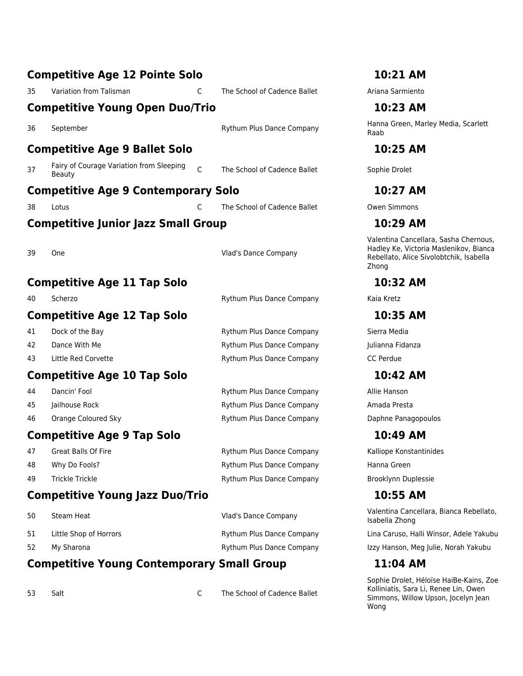|    | <b>Competitive Age 12 Pointe Solo</b>                          |                              | 10:21 AM                                                                                                                            |
|----|----------------------------------------------------------------|------------------------------|-------------------------------------------------------------------------------------------------------------------------------------|
| 35 | Variation from Talisman<br>C                                   | The School of Cadence Ballet | Ariana Sarmiento                                                                                                                    |
|    | <b>Competitive Young Open Duo/Trio</b>                         |                              | 10:23 AM                                                                                                                            |
| 36 | September                                                      | Rythum Plus Dance Company    | Hanna Green, Marley Media, Scarlett<br>Raab                                                                                         |
|    | <b>Competitive Age 9 Ballet Solo</b>                           |                              | 10:25 AM                                                                                                                            |
| 37 | Fairy of Courage Variation from Sleeping<br>C<br><b>Beauty</b> | The School of Cadence Ballet | Sophie Drolet                                                                                                                       |
|    | <b>Competitive Age 9 Contemporary Solo</b>                     |                              | 10:27 AM                                                                                                                            |
| 38 | C<br>Lotus                                                     | The School of Cadence Ballet | <b>Owen Simmons</b>                                                                                                                 |
|    | <b>Competitive Junior Jazz Small Group</b>                     |                              | 10:29 AM                                                                                                                            |
| 39 | One                                                            | Vlad's Dance Company         | Valentina Cancellara, Sasha Chernous,<br>Hadley Ke, Victoria Maslenikov, Bianca<br>Rebellato, Alice Sivolobtchik, Isabella<br>Zhong |
|    | <b>Competitive Age 11 Tap Solo</b>                             |                              | 10:32 AM                                                                                                                            |
| 40 | Scherzo                                                        | Rythum Plus Dance Company    | Kaia Kretz                                                                                                                          |
|    | <b>Competitive Age 12 Tap Solo</b>                             |                              | 10:35 AM                                                                                                                            |
| 41 | Dock of the Bay                                                | Rythum Plus Dance Company    | Sierra Media                                                                                                                        |
| 42 | Dance With Me                                                  | Rythum Plus Dance Company    | Julianna Fidanza                                                                                                                    |
| 43 | Little Red Corvette                                            | Rythum Plus Dance Company    | CC Perdue                                                                                                                           |
|    | <b>Competitive Age 10 Tap Solo</b>                             |                              | 10:42 AM                                                                                                                            |
| 44 | Dancin' Fool                                                   | Rythum Plus Dance Company    | Allie Hanson                                                                                                                        |
| 45 | Jailhouse Rock                                                 | Rythum Plus Dance Company    | Amada Presta                                                                                                                        |
| 46 | Orange Coloured Sky                                            | Rythum Plus Dance Company    | Daphne Panagopoulos                                                                                                                 |
|    | <b>Competitive Age 9 Tap Solo</b>                              |                              | 10:49 AM                                                                                                                            |
| 47 | Great Balls Of Fire                                            | Rythum Plus Dance Company    | Kalliope Konstantinides                                                                                                             |
| 48 | Why Do Fools?                                                  | Rythum Plus Dance Company    | Hanna Green                                                                                                                         |
| 49 | <b>Trickle Trickle</b>                                         | Rythum Plus Dance Company    | Brooklynn Duplessie                                                                                                                 |
|    | <b>Competitive Young Jazz Duo/Trio</b>                         |                              | 10:55 AM                                                                                                                            |
| 50 | Steam Heat                                                     | <b>Vlad's Dance Company</b>  | Valentina Cancellara, Bianca Rebellato,<br>Isabella Zhong                                                                           |
| 51 | Little Shop of Horrors                                         | Rythum Plus Dance Company    | Lina Caruso, Halli Winsor, Adele Yakubu                                                                                             |
| 52 | My Sharona                                                     | Rythum Plus Dance Company    | Izzy Hanson, Meg Julie, Norah Yakubu                                                                                                |
|    | <b>Competitive Young Contemporary Small Group</b>              |                              | 11:04 AM                                                                                                                            |
|    |                                                                |                              | Sonhie Drolet, Héloïse HaiBe-Kains, Zoe                                                                                             |

53 Salt C The School of Cadence Ballet

Sophie Drolet, Héloïse HaiBe-Kains, Zoe Kolliniatis, Sara Li, Renee Lin, Owen Simmons, Willow Upson, Jocelyn Jean Wong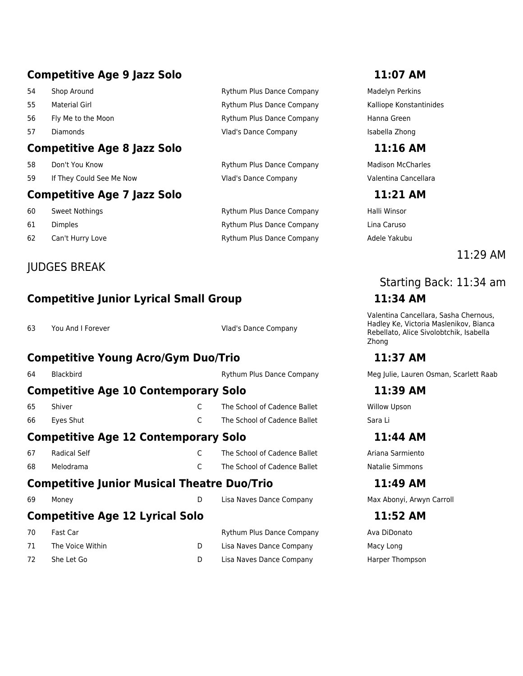# **Competitive Age 9 Jazz Solo 11:07 AM**

- 
- 
- 
- 

### **Competitive Age 8 Jazz Solo 11:16 AM**

- 
- 59 If They Could See Me Now Vlad's Dance Company Valentina Cancellara

### **Competitive Age 7 Jazz Solo 11:21 AM**

- 
- 
- 

### JUDGES BREAK

# **Competitive Junior Lyrical Small Group 11:34 AM**

63 You And I Forever Vlad's Dance Company

### **Competitive Young Acro/Gym Duo/Trio 11:37 AM**

| 64                                                 | <b>Blackbird</b>                            |   | <b>Rythum Plus Dance Company</b> | Meg Ju  |  |  |
|----------------------------------------------------|---------------------------------------------|---|----------------------------------|---------|--|--|
|                                                    | <b>Competitive Age 10 Contemporary Solo</b> |   |                                  |         |  |  |
| 65                                                 | Shiver                                      |   | The School of Cadence Ballet     | Willow  |  |  |
| 66                                                 | Eyes Shut                                   | C | The School of Cadence Ballet     | Sara Li |  |  |
| <b>Competitive Age 12 Contemporary Solo</b>        |                                             |   |                                  |         |  |  |
| 67                                                 | Radical Self                                |   | The School of Cadence Ballet     | Ariana  |  |  |
| 68                                                 | Melodrama                                   | C | The School of Cadence Ballet     | Natalie |  |  |
| <b>Competitive Junior Musical Theatre Duo/Trio</b> |                                             |   |                                  |         |  |  |

# **Competitive Age 12 Lyrical Solo 11:52 AM**

| 70 | Fast Car         | <b>Rythum Plus Dance Company</b> | Ava DiDon  |
|----|------------------|----------------------------------|------------|
| 71 | The Voice Within | Lisa Naves Dance Company         | Macy Long  |
| 72 | She Let Go       | Lisa Naves Dance Company         | Harper Tho |

### 54 Shop Around **Shop Around Company Rythum Plus Dance Company** Madelyn Perkins 55 Material Girl Rythum Plus Dance Company Kalliope Konstantinides 56 Fly Me to the Moon **Figure 1 Command Company Hanna Green Hanna Green Hanna Green** 57 Diamonds **Internal Company** Vlad's Dance Company **Isabella Zhong**

58 Don't You Know **Example 20 The State Company** Madison McCharles And Don't You Know Madison McCharles

60 Sweet Nothings **Rythum Plus Dance Company** Halli Winsor 61 Dimples **Company Lina Caruso Company** Lina Caruso Rythum Plus Dance Company Lina Caruso 62 Can't Hurry Love **Can't Hurry Love Company** Adele Yakubu

11:29 AM

# Starting Back: 11:34 am

Valentina Cancellara, Sasha Chernous, Hadley Ke, Victoria Maslenikov, Bianca Rebellato, Alice Sivolobtchik, Isabella Zhong

Meg Julie, Lauren Osman, Scarlett Raab

### **Competitive Age 10 Contemporary Solo 11:39 AM**

Willow Upson

### **Competitive Age 12 Contemporary Solo 11:44 AM**

Ariana Sarmiento Natalie Simmons

**Competitive Junior Musical Theatre Duo/Trio 11:49 AM** 69 Money D Lisa Naves Dance Company Max Abonyi, Arwyn Carroll

pany **Ava DiDonato** any Barper Thompson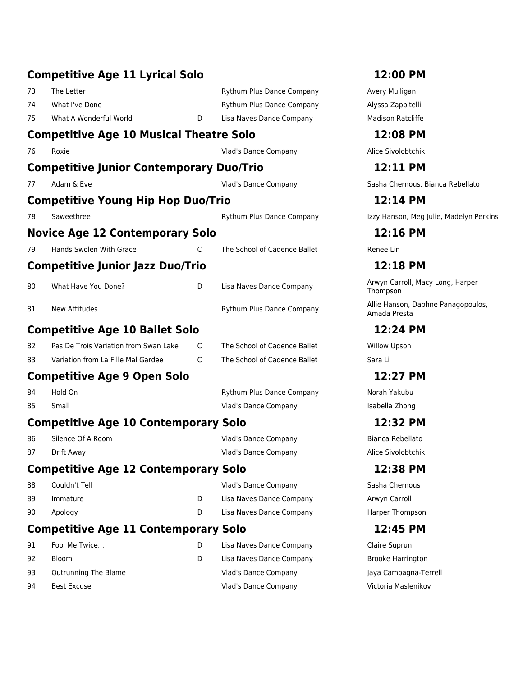|    | <b>Competitive Age 11 Lyrical Solo</b>          |   |                              | 12:00 PM                                           |
|----|-------------------------------------------------|---|------------------------------|----------------------------------------------------|
| 73 | The Letter                                      |   | Rythum Plus Dance Company    | Avery Mulligan                                     |
| 74 | What I've Done                                  |   | Rythum Plus Dance Company    | Alyssa Zappitelli                                  |
| 75 | What A Wonderful World                          | D | Lisa Naves Dance Company     | <b>Madison Ratcliffe</b>                           |
|    | <b>Competitive Age 10 Musical Theatre Solo</b>  |   | 12:08 PM                     |                                                    |
| 76 | Roxie                                           |   | Vlad's Dance Company         | Alice Sivolobtchik                                 |
|    | <b>Competitive Junior Contemporary Duo/Trio</b> |   |                              | 12:11 PM                                           |
| 77 | Adam & Eve                                      |   | Vlad's Dance Company         | Sasha Chernous, Bianca Rebellato                   |
|    | <b>Competitive Young Hip Hop Duo/Trio</b>       |   |                              | 12:14 PM                                           |
| 78 | Saweethree                                      |   | Rythum Plus Dance Company    | Izzy Hanson, Meg Julie, Madelyn Perkins            |
|    | <b>Novice Age 12 Contemporary Solo</b>          |   |                              | 12:16 PM                                           |
| 79 | Hands Swolen With Grace                         | C | The School of Cadence Ballet | Renee Lin                                          |
|    | <b>Competitive Junior Jazz Duo/Trio</b>         |   |                              | 12:18 PM                                           |
| 80 | What Have You Done?                             | D | Lisa Naves Dance Company     | Arwyn Carroll, Macy Long, Harper<br>Thompson       |
| 81 | New Attitudes                                   |   | Rythum Plus Dance Company    | Allie Hanson, Daphne Panagopoulos,<br>Amada Presta |
|    | <b>Competitive Age 10 Ballet Solo</b>           |   |                              | 12:24 PM                                           |
| 82 | Pas De Trois Variation from Swan Lake           | C | The School of Cadence Ballet | <b>Willow Upson</b>                                |
| 83 | Variation from La Fille Mal Gardee              | C | The School of Cadence Ballet | Sara Li                                            |
|    | <b>Competitive Age 9 Open Solo</b>              |   |                              | 12:27 PM                                           |
| 84 | Hold On                                         |   | Rythum Plus Dance Company    | Norah Yakubu                                       |
| 85 | Small                                           |   | Vlad's Dance Company         | Isabella Zhong                                     |
|    | <b>Competitive Age 10 Contemporary Solo</b>     |   |                              | 12:32 PM                                           |
| 86 | Silence Of A Room                               |   | Vlad's Dance Company         | Bianca Rebellato                                   |
| 87 | Drift Away                                      |   | Vlad's Dance Company         | Alice Sivolobtchik                                 |
|    | <b>Competitive Age 12 Contemporary Solo</b>     |   |                              | 12:38 PM                                           |
| 88 | Couldn't Tell                                   |   | Vlad's Dance Company         | Sasha Chernous                                     |
| 89 | Immature                                        | D | Lisa Naves Dance Company     | Arwyn Carroll                                      |
| 90 | Apology                                         | D | Lisa Naves Dance Company     | Harper Thompson                                    |
|    | <b>Competitive Age 11 Contemporary Solo</b>     |   |                              | 12:45 PM                                           |
| 91 | Fool Me Twice                                   | D | Lisa Naves Dance Company     | Claire Suprun                                      |
| 92 | <b>Bloom</b>                                    | D | Lisa Naves Dance Company     | <b>Brooke Harrington</b>                           |
| 93 | Outrunning The Blame                            |   | Vlad's Dance Company         | Jaya Campagna-Terrell                              |
| 94 | <b>Best Excuse</b>                              |   | Vlad's Dance Company         | Victoria Maslenikov                                |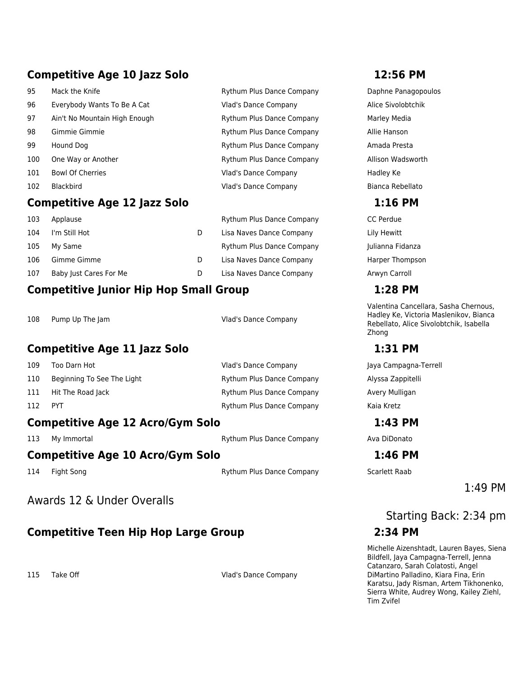# **Competitive Age 10 Jazz Solo 12:56 PM**

|     | <b>Competitive Age 12 Jazz Solo</b><br>$1:16$ PM |                                  |                     |  |  |
|-----|--------------------------------------------------|----------------------------------|---------------------|--|--|
| 102 | Blackbird                                        | Vlad's Dance Company             | Bianca Rebellato    |  |  |
| 101 | <b>Bowl Of Cherries</b>                          | Vlad's Dance Company             | Hadley Ke           |  |  |
| 100 | One Way or Another                               | <b>Rythum Plus Dance Company</b> | Allison Wadsworth   |  |  |
| 99  | Hound Dog                                        | <b>Rythum Plus Dance Company</b> | Amada Presta        |  |  |
| 98  | Gimmie Gimmie                                    | <b>Rythum Plus Dance Company</b> | Allie Hanson        |  |  |
| 97  | Ain't No Mountain High Enough                    | <b>Rythum Plus Dance Company</b> | Marley Media        |  |  |
| 96  | Everybody Wants To Be A Cat                      | <b>Vlad's Dance Company</b>      | Alice Sivolobtchik  |  |  |
| 95  | Mack the Knife                                   | <b>Rythum Plus Dance Company</b> | Daphne Panagopoulos |  |  |

### **Competitive Age 12 Jazz Solo 1:16 PM**

| 103 | Applause               |   | <b>Rythum Plus Dance Company</b> | <b>CC</b> Perdue |
|-----|------------------------|---|----------------------------------|------------------|
| 104 | I'm Still Hot          | D | Lisa Naves Dance Company         | Lily Hewitt      |
| 105 | My Same                |   | <b>Rythum Plus Dance Company</b> | Julianna Fi      |
| 106 | Gimme Gimme            | D | Lisa Naves Dance Company         | Harper Tho       |
| 107 | Baby Just Cares For Me | D | Lisa Naves Dance Company         | Arwyn Car        |

# **Competitive Junior Hip Hop Small Group 1:28 PM**

| 108 | Pump Up The Jam |  |  |
|-----|-----------------|--|--|
|     |                 |  |  |

Vlad's Dance Company

# **Competitive Age 11 Jazz Solo 1:31 PM**

| 112 | <b>PYT</b>                 | <b>Rythum Plus Dance Company</b> | Kaia Kretz       |
|-----|----------------------------|----------------------------------|------------------|
| 111 | Hit The Road Jack          | <b>Rythum Plus Dance Company</b> | <b>Avery Mul</b> |
| 110 | Beginning To See The Light | <b>Rythum Plus Dance Company</b> | Alyssa Zar       |
| 109 | Too Darn Hot               | Vlad's Dance Company             | Jaya Camp        |

### **Competitive Age 12 Acro/Gym Solo 1:43 PM**

113 My Immortal **Available Company** Ava DiDonato

# **Competitive Age 10 Acro/Gym Solo 1:46 PM**

114 Fight Song **Scarlett Raab** Rythum Plus Dance Company Scarlett Raab

### Awards 12 & Under Overalls

# **Competitive Teen Hip Hop Large Group 2:34 PM**

115 Take Off **Vlad's Dance Company** 

Julianna Fidanza Harper Thompson Arwyn Carroll

Valentina Cancellara, Sasha Chernous, Hadley Ke, Victoria Maslenikov, Bianca Rebellato, Alice Sivolobtchik, Isabella Zhong

Jaya Campagna-Terrell Alyssa Zappitelli Avery Mulligan

1:49 PM

# Starting Back: 2:34 pm

Michelle Aizenshtadt, Lauren Bayes, Siena Bildfell, Jaya Campagna-Terrell, Jenna Catanzaro, Sarah Colatosti, Angel DiMartino Palladino, Kiara Fina, Erin Karatsu, Jady Risman, Artem Tikhonenko, Sierra White, Audrey Wong, Kailey Ziehl, Tim Zvifel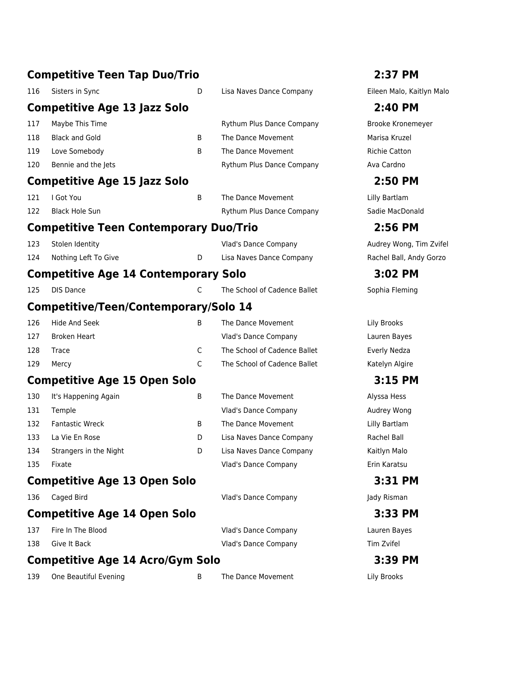|     | <b>Competitive Teen Tap Duo/Trio</b>          |   |                              | 2:37 PM                   |
|-----|-----------------------------------------------|---|------------------------------|---------------------------|
| 116 | Sisters in Sync                               | D | Lisa Naves Dance Company     | Eileen Malo, Kaitlyn Malo |
|     | <b>Competitive Age 13 Jazz Solo</b>           |   |                              | 2:40 PM                   |
| 117 | Maybe This Time                               |   | Rythum Plus Dance Company    | Brooke Kronemeyer         |
| 118 | <b>Black and Gold</b>                         | B | The Dance Movement           | Marisa Kruzel             |
| 119 | Love Somebody                                 | В | The Dance Movement           | <b>Richie Catton</b>      |
| 120 | Bennie and the Jets                           |   | Rythum Plus Dance Company    | Ava Cardno                |
|     | <b>Competitive Age 15 Jazz Solo</b>           |   |                              | 2:50 PM                   |
| 121 | I Got You                                     | B | The Dance Movement           | Lilly Bartlam             |
| 122 | <b>Black Hole Sun</b>                         |   | Rythum Plus Dance Company    | Sadie MacDonald           |
|     | <b>Competitive Teen Contemporary Duo/Trio</b> |   |                              | 2:56 PM                   |
| 123 | Stolen Identity                               |   | Vlad's Dance Company         | Audrey Wong, Tim Zvifel   |
| 124 | Nothing Left To Give                          | D | Lisa Naves Dance Company     | Rachel Ball, Andy Gorzo   |
|     | <b>Competitive Age 14 Contemporary Solo</b>   |   |                              | 3:02 PM                   |
| 125 | <b>DIS Dance</b>                              | C | The School of Cadence Ballet | Sophia Fleming            |
|     | Competitive/Teen/Contemporary/Solo 14         |   |                              |                           |
| 126 | <b>Hide And Seek</b>                          | B | The Dance Movement           | Lily Brooks               |
| 127 | <b>Broken Heart</b>                           |   | Vlad's Dance Company         | Lauren Bayes              |
| 128 | Trace                                         | C | The School of Cadence Ballet | Everly Nedza              |
| 129 | Mercy                                         | C | The School of Cadence Ballet | Katelyn Algire            |
|     | <b>Competitive Age 15 Open Solo</b>           |   |                              | 3:15 PM                   |
| 130 | It's Happening Again                          | B | The Dance Movement           | Alyssa Hess               |
| 131 | Temple                                        |   | Vlad's Dance Company         | Audrey Wong               |
| 132 | <b>Fantastic Wreck</b>                        | B | The Dance Movement           | Lilly Bartlam             |
| 133 | La Vie En Rose                                | D | Lisa Naves Dance Company     | Rachel Ball               |
| 134 | Strangers in the Night                        | D | Lisa Naves Dance Company     | Kaitlyn Malo              |
| 135 | Fixate                                        |   | Vlad's Dance Company         | Erin Karatsu              |
|     | <b>Competitive Age 13 Open Solo</b>           |   |                              | 3:31 PM                   |
| 136 | Caged Bird                                    |   | Vlad's Dance Company         | Jady Risman               |
|     | <b>Competitive Age 14 Open Solo</b>           |   |                              | 3:33 PM                   |
| 137 | Fire In The Blood                             |   | Vlad's Dance Company         | Lauren Bayes              |
| 138 | Give It Back                                  |   | Vlad's Dance Company         | Tim Zvifel                |
|     | <b>Competitive Age 14 Acro/Gym Solo</b>       |   |                              | 3:39 PM                   |
| 139 | One Beautiful Evening                         | B | The Dance Movement           | Lily Brooks               |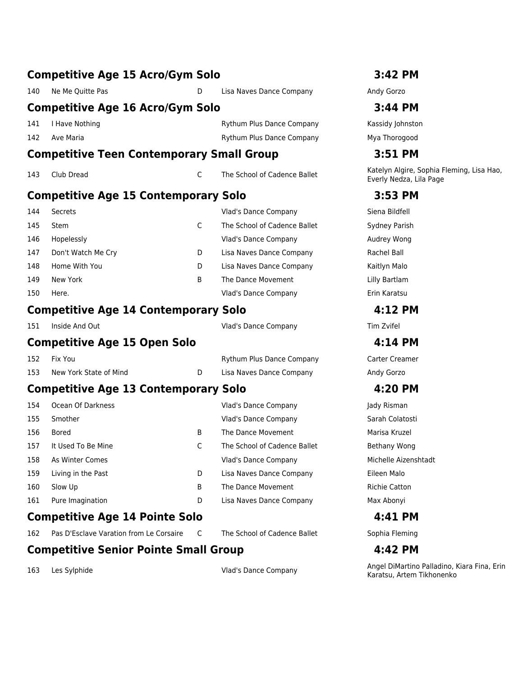# **Competitive Age 15 Acro/Gym Solo 3:42 PM** 140 Ne Me Quitte Pas **D** Lisa Naves Dance Company Andy Gorzo **Competitive Age 16 Acro/Gym Solo 3:44 PM** 141 I Have Nothing Rythum Plus Dance Company Kassidy Johnston 142 Ave Maria Rythum Plus Dance Company Mya Thorogood **Competitive Teen Contemporary Small Group 3:51 PM** 143 Club Dread Chromocouse Chromocouse Chromocouse Chromocouse Chromocouse Chromocouse Chromocouse Chromocous<br>The School of Cadence Ballet Chromocouse Chromocouse Chromocouse Chromocouse Chromocouse Chromocouse Chromocou **Competitive Age 15 Contemporary Solo 3:53 PM** 144 Secrets Vlad's Dance Company Siena Bildfell 145 Stem **C** The School of Cadence Ballet Sydney Parish 146 Hopelessly **Manual Audrey Wong Company Audrey Wong Strategies** Vlad's Dance Company **Audrey Wong Audrey Wong** 147 Don't Watch Me Cry **Durie Company** Duries Naves Dance Company Rachel Ball 148 Home With You **Duries Inc. A Company Company Assume With Malo** Duries Dance Company Company Kaitlyn Malo 149 New York **B** The Dance Movement Lilly Bartlam 150 Here. Vlad's Dance Company Erin Karatsu **Competitive Age 14 Contemporary Solo 4:12 PM** 151 Inside And Out Vlad's Dance Company Tim Zvifel **Competitive Age 15 Open Solo 4:14 PM** 152 Fix You **Rythum Plus Dance Company** Carter Creamer 153 New York State of Mind D Lisa Naves Dance Company Andy Gorzo **Competitive Age 13 Contemporary Solo 4:20 PM** 154 Ocean Of Darkness Vlad's Dance Company Jady Risman 155 Smother Sarah Colatosti Sarah Colatosti Nuad's Dance Company Sarah Colatosti Sarah Colatosti Sarah Colatosti 156 Bored **B** The Dance Movement Marisa Kruzel 157 It Used To Be Mine **Compared Compare Compare Compare School of Cadence Ballet** Bethany Wong 158 As Winter Comes Vlad's Dance Company Michelle Aizenshtadt 159 Living in the Past **D** Lisa Naves Dance Company **Eileen Malo** 160 Slow Up B The Dance Movement Richie Catton 161 Pure Imagination D Lisa Naves Dance Company Max Abonyi **Competitive Age 14 Pointe Solo 4:41 PM** 162 Pas D'Esclave Varation from Le Corsaire C The School of Cadence Ballet Sophia Fleming

**Competitive Senior Pointe Small Group 4:42 PM**

Everly Nedza, Lila Page

163 Les Sylphide **Vlad's Dance Company** Angel DiMartino Palladino, Kiara Fina, Erin Karatsu, Artem Tikhonenko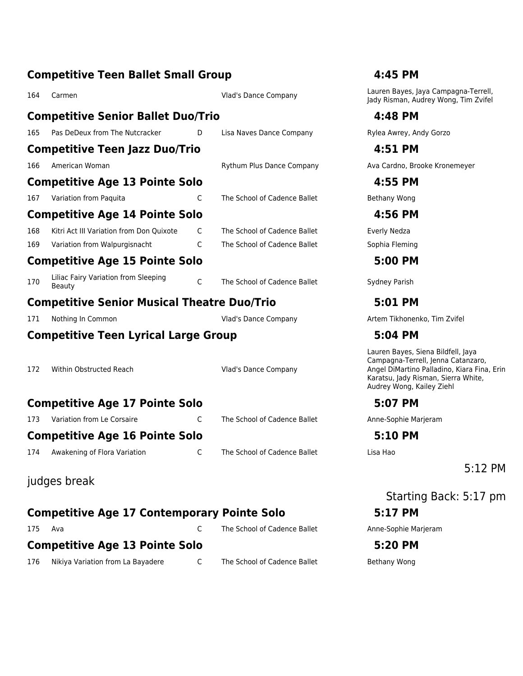|     | <b>Competitive Teen Ballet Small Group</b>            |   | 4:45 PM                      |                                                                                                                                                                                             |
|-----|-------------------------------------------------------|---|------------------------------|---------------------------------------------------------------------------------------------------------------------------------------------------------------------------------------------|
| 164 | Carmen                                                |   | Vlad's Dance Company         | Lauren Bayes, Jaya Campagna-Terrell,<br>Jady Risman, Audrey Wong, Tim Zvifel                                                                                                                |
|     | <b>Competitive Senior Ballet Duo/Trio</b>             |   |                              | 4:48 PM                                                                                                                                                                                     |
| 165 | Pas DeDeux from The Nutcracker                        | D | Lisa Naves Dance Company     | Rylea Awrey, Andy Gorzo                                                                                                                                                                     |
|     | <b>Competitive Teen Jazz Duo/Trio</b>                 |   |                              | 4:51 PM                                                                                                                                                                                     |
| 166 | American Woman                                        |   | Rythum Plus Dance Company    | Ava Cardno, Brooke Kronemeyer                                                                                                                                                               |
|     | <b>Competitive Age 13 Pointe Solo</b>                 |   |                              | 4:55 PM                                                                                                                                                                                     |
| 167 | Variation from Paquita                                | C | The School of Cadence Ballet | Bethany Wong                                                                                                                                                                                |
|     | <b>Competitive Age 14 Pointe Solo</b>                 |   |                              | 4:56 PM                                                                                                                                                                                     |
| 168 | Kitri Act III Variation from Don Ouixote              | C | The School of Cadence Ballet | Everly Nedza                                                                                                                                                                                |
| 169 | Variation from Walpurgisnacht                         | C | The School of Cadence Ballet | Sophia Fleming                                                                                                                                                                              |
|     | <b>Competitive Age 15 Pointe Solo</b>                 |   |                              | 5:00 PM                                                                                                                                                                                     |
| 170 | Liliac Fairy Variation from Sleeping<br><b>Beauty</b> | C | The School of Cadence Ballet | Sydney Parish                                                                                                                                                                               |
|     | <b>Competitive Senior Musical Theatre Duo/Trio</b>    |   |                              | 5:01 PM                                                                                                                                                                                     |
| 171 | Nothing In Common                                     |   | Vlad's Dance Company         | Artem Tikhonenko, Tim Zvifel                                                                                                                                                                |
|     | <b>Competitive Teen Lyrical Large Group</b>           |   |                              | 5:04 PM                                                                                                                                                                                     |
| 172 | Within Obstructed Reach                               |   | Vlad's Dance Company         | Lauren Bayes, Siena Bildfell, Jaya<br>Campagna-Terrell, Jenna Catanzaro,<br>Angel DiMartino Palladino, Kiara Fina, Erin<br>Karatsu, Jady Risman, Sierra White,<br>Audrey Wong, Kailey Ziehl |
|     | <b>Competitive Age 17 Pointe Solo</b>                 |   |                              | 5:07 PM                                                                                                                                                                                     |
| 173 | Variation from Le Corsaire                            | C | The School of Cadence Ballet | Anne-Sophie Marjeram                                                                                                                                                                        |
|     | <b>Competitive Age 16 Pointe Solo</b>                 |   |                              | 5:10 PM                                                                                                                                                                                     |
| 174 | Awakening of Flora Variation                          | C | The School of Cadence Ballet | Lisa Hao                                                                                                                                                                                    |
|     |                                                       |   |                              | $5:12$ PM                                                                                                                                                                                   |
|     | judges break                                          |   |                              |                                                                                                                                                                                             |
|     |                                                       |   |                              | Starting Back: 5:17 pm                                                                                                                                                                      |
|     | <b>Competitive Age 17 Contemporary Pointe Solo</b>    |   |                              | 5:17 PM                                                                                                                                                                                     |
| 175 | Ava                                                   | C | The School of Cadence Ballet | Anne-Sophie Marjeram                                                                                                                                                                        |
|     | <b>Competitive Age 13 Pointe Solo</b>                 |   |                              | 5:20 PM                                                                                                                                                                                     |
| 176 | Nikiya Variation from La Bayadere                     | C | The School of Cadence Ballet | Bethany Wong                                                                                                                                                                                |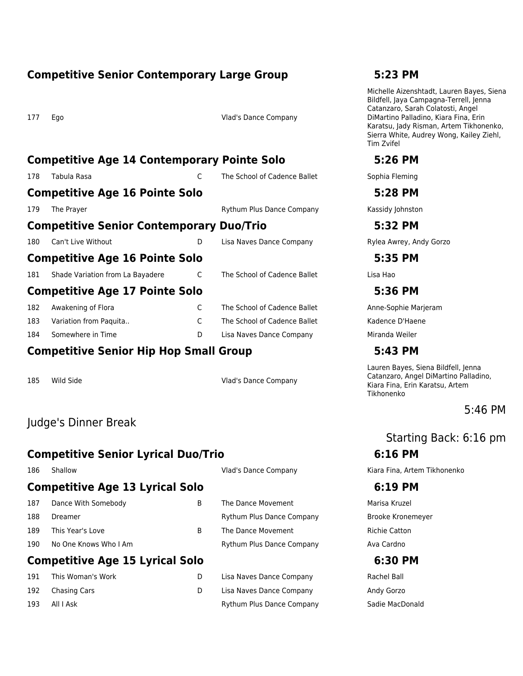### **Competitive Senior Contemporary Large Group 5:23 PM**

177 Ego Vlad's Dance Company

# **Competitive Age 14 Contemporary Pointe Solo 5:26 PM**

178 Tabula Rasa **C** The School of Cadence Ballet Sophia Fleming

# **Competitive Age 16 Pointe Solo 5:28 PM**

**Competitive Senior Contemporary Duo/Trio 5:32 PM**

180 Can't Live Without **D** Lisa Naves Dance Company **Rylea Awrey, Andy Gorzo** 

**Competitive Age 16 Pointe Solo 5:35 PM**

181 Shade Variation from La Bayadere Chine School of Cadence Ballet Clisa Hao

### **Competitive Age 17 Pointe Solo 5:36 PM**

| 182 | Awakening of Flora     | The School of Cadence Ballet | Anne-Sophie M  |
|-----|------------------------|------------------------------|----------------|
| 183 | Variation from Paguita | The School of Cadence Ballet | Kadence D'Hae  |
| 184 | Somewhere in Time      | Lisa Naves Dance Company     | Miranda Weiler |

# **Competitive Senior Hip Hop Small Group 5:43 PM**

185 Wild Side Vlad's Dance Company

# Judge's Dinner Break

# **Competitive Senior Lyrical Duo/Trio 6:16 PM**

### **Competitive Age 13 Lyrical Solo 6:19 PM**

187 Dance With Somebody **State Communist Communist Communist Communist Communist Communist Communist Communist Communist Communist Communist Communist Communist Communist Communist Communist Communist Communist Communist C** 188 Dreamer **Manual Exercise Systems** Rythum Plus Dance Company **Brooke Kronemeyer** 189 This Year's Love **B** The Dance Movement **Richie Catton** 190 No One Knows Who I Am And Company Rythum Plus Dance Company Ava Cardno

# **Competitive Age 15 Lyrical Solo 6:30 PM**

191 This Woman's Work D Lisa Naves Dance Company Rachel Ball 192 Chasing Cars D Lisa Naves Dance Company Andy Gorzo

- 
- 

| 191 | This Woman's Work | Lisa Naves Dance Company  | Rachel Ball     |
|-----|-------------------|---------------------------|-----------------|
| 192 | Chasing Cars      | Lisa Naves Dance Company  | Andy Gorzo      |
| 193 | All I Ask         | Rythum Plus Dance Company | Sadie MacDonald |

Michelle Aizenshtadt, Lauren Bayes, Siena Bildfell, Jaya Campagna-Terrell, Jenna Catanzaro, Sarah Colatosti, Angel DiMartino Palladino, Kiara Fina, Erin Karatsu, Jady Risman, Artem Tikhonenko, Sierra White, Audrey Wong, Kailey Ziehl, Tim Zvifel

179 The Prayer **No. 2018** The Prayer Rythum Plus Dance Company **Kassidy Johnston** 

Anne-Sophie Marjeram Kadence D'Haene

Lauren Bayes, Siena Bildfell, Jenna Catanzaro, Angel DiMartino Palladino, Kiara Fina, Erin Karatsu, Artem Tikhonenko

5:46 PM

# Starting Back: 6:16 pm

186 Shallow Vlad's Dance Company Kiara Fina, Artem Tikhonenko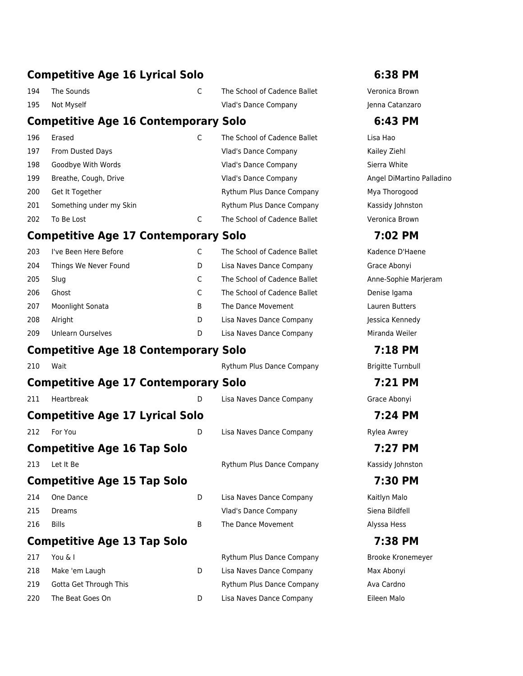### **Competitive Age 16 Lyrical Solo 6:38 PM**

- 
- 
- 194 The Sounds C The School of Cadence Ballet Veronica Brown 195 Not Myself Vlad's Dance Company Jenna Catanzaro

### **Competitive Age 16 Contemporary Solo 6:43 PM**

| 196 | Erased                  | The School of Cadence Ballet     | Lisa Hao     |
|-----|-------------------------|----------------------------------|--------------|
| 197 | From Dusted Days        | Vlad's Dance Company             | Kailey Ziehl |
| 198 | Goodbye With Words      | Vlad's Dance Company             | Sierra White |
| 199 | Breathe, Cough, Drive   | <b>Vlad's Dance Company</b>      | Angel DiMar  |
| 200 | Get It Together         | <b>Rythum Plus Dance Company</b> | Mya Thorogo  |
| 201 | Something under my Skin | Rythum Plus Dance Company        | Kassidy John |
| 202 | To Be Lost              | The School of Cadence Ballet     | Veronica Bro |

# **Competitive Age 17 Contemporary Solo 7:02 PM**

| 203 | I've Been Here Before |   | The School of Cadence Ballet |
|-----|-----------------------|---|------------------------------|
| 204 | Things We Never Found | D | Lisa Naves Dance Company     |
| 205 | Slug                  |   | The School of Cadence Ballet |
| 206 | Ghost                 |   | The School of Cadence Ballet |
| 207 | Moonlight Sonata      | B | The Dance Movement           |
| 208 | Alright               | D | Lisa Naves Dance Company     |
| 209 | Unlearn Ourselves     | D | Lisa Naves Dance Company     |

# **Competitive Age 18 Contemporary Solo 7:18 PM**

210 Wait **Manual Rythum Plus Dance Company** Brigitte Turnbull **Competitive Age 17 Contemporary Solo 7:21 PM** 211 Heartbreak D Lisa Naves Dance Company Grace Abonyi **Competitive Age 17 Lyrical Solo 7:24 PM** 212 For You **D** Lisa Naves Dance Company Rylea Awrey **Competitive Age 16 Tap Solo 7:27 PM** 213 Let It Be **Rythum Plus Dance Company** Kassidy Johnston Kassidy Johnston **Competitive Age 15 Tap Solo 7:30 PM** 214 One Dance **D** Lisa Naves Dance Company **Company** Kaitlyn Malo 215 Dreams Vlad's Dance Company Siena Bildfell 216 Bills **B The Dance Movement** Alyssa Hess **Competitive Age 13 Tap Solo 7:38 PM**

217 You & I **Rythum Plus Dance Company** Brooke Kronemeyer 218 Make 'em Laugh D Lisa Naves Dance Company Max Abonyi 219 Gotta Get Through This **Rythum Plus Dance Company** Ava Cardno 220 The Beat Goes On D Lisa Naves Dance Company Eileen Malo

Angel DiMartino Palladino Mya Thorogood Kassidy Johnston Veronica Brown

Kadence D'Haene Grace Abonyi Anne-Sophie Marjeram Denise Igama Lauren Butters Jessica Kennedy Miranda Weiler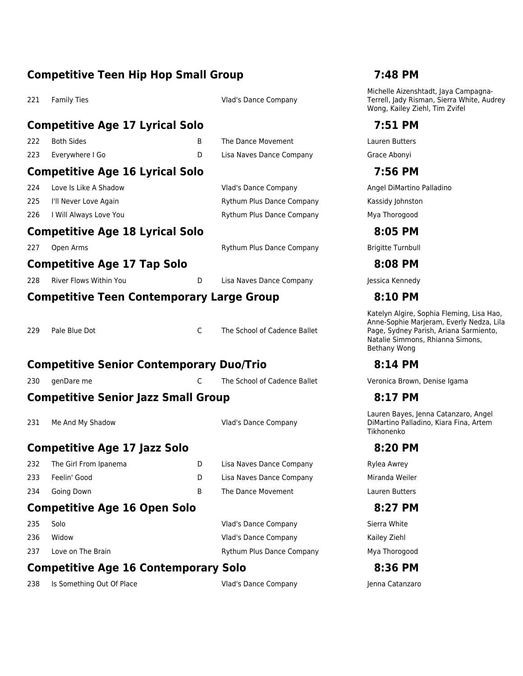### **Competitive Teen Hip Hop Small Group 7:48 PM**

221 Family Ties **Vlad's Dance Company** 

### **Competitive Age 17 Lyrical Solo 7:51 PM**

| 223 Everywhere I Go |  | Lisa Naves Dan |
|---------------------|--|----------------|
| 222 Both Sides      |  | The Dance Mov  |

### **Competitive Age 16 Lyrical Solo 7:56 PM**

- 224 Love Is Like A Shadow **Vlad's Dance Company Angel DiMartino Palladino** Palladino
- 225 I'll Never Love Again **Rythum Plus Dance Company** Kassidy Johnston
- 226 I Will Always Love You **Reading the State Additional Rythum Plus Dance Company** Mya Thorogood

### **Competitive Age 18 Lyrical Solo 8:05 PM**

227 Open Arms **Rythum Plus Dance Company** Brigitte Turnbull

# **Competitive Age 17 Tap Solo 8:08 PM**

- **Competitive Teen Contemporary Large Group 8:10 PM**
- 

229 Pale Blue Dot C The School of Cadence Ballet

# **Competitive Senior Contemporary Duo/Trio 8:14 PM**

# **Competitive Senior Jazz Small Group 8:17 PM**

231 Me And My Shadow **Vlad's Dance Company** 

### **Competitive Age 17 Jazz Solo 8:20 PM**

- 232 The Girl From Ipanema **D** Lisa Naves Dance Company Rylea Awrey 233 Feelin' Good D Lisa Naves Dance Company Miranda Weiler
- 234 Going Down **B** The Dance Movement Lauren Butters

### **Competitive Age 16 Open Solo 8:27 PM**

- 
- 
- 

235 Solo Vlad's Dance Company Sierra White 236 Widow Vlad's Dance Company Kailey Ziehl

237 Love on The Brain **Rythum Plus Dance Company** Mya Thorogood

# **Competitive Age 16 Contemporary Solo 8:36 PM**

238 Is Something Out Of Place **Vlad's Dance Company Server Server Server** Jenna Catanzaro

Michelle Aizenshtadt, Jaya Campagna-Terrell, Jady Risman, Sierra White, Audrey Wong, Kailey Ziehl, Tim Zvifel

zement External Lauren Butters Ice Company Grace Abonyi

228 River Flows Within You **D** Lisa Naves Dance Company **Jessica Kennedy** 

Katelyn Algire, Sophia Fleming, Lisa Hao, Anne-Sophie Marjeram, Everly Nedza, Lila Page, Sydney Parish, Ariana Sarmiento, Natalie Simmons, Rhianna Simons, Bethany Wong

230 genDare me C The School of Cadence Ballet School of Cadence Ballet Veronica Brown, Denise Igama

Lauren Bayes, Jenna Catanzaro, Angel DiMartino Palladino, Kiara Fina, Artem Tikhonenko